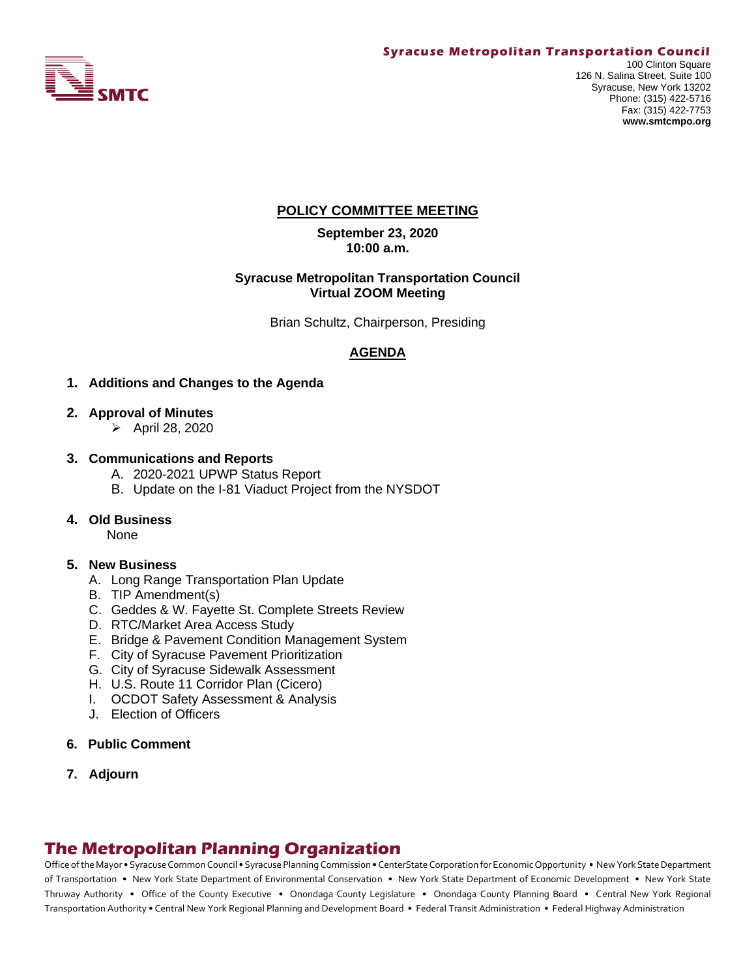

#### **Syracuse Metropolitan Transportation Council**

# **POLICY COMMITTEE MEETING**

**September 23, 2020 10:00 a.m.**

#### **Syracuse Metropolitan Transportation Council Virtual ZOOM Meeting**

Brian Schultz, Chairperson, Presiding

# **AGENDA**

#### **1. Additions and Changes to the Agenda**

- **2. Approval of Minutes**
	- ➢ April 28, 2020

#### **3. Communications and Reports**

- A. 2020-2021 UPWP Status Report
- B. Update on the I-81 Viaduct Project from the NYSDOT
- **4. Old Business**

None

#### **5. New Business**

- A. Long Range Transportation Plan Update
- B. TIP Amendment(s)
- C. Geddes & W. Fayette St. Complete Streets Review
- D. RTC/Market Area Access Study
- E. Bridge & Pavement Condition Management System
- F. City of Syracuse Pavement Prioritization
- G. City of Syracuse Sidewalk Assessment
- H. U.S. Route 11 Corridor Plan (Cicero)
- I. OCDOT Safety Assessment & Analysis
- J. Election of Officers
- **6. Public Comment**
- **7. Adjourn**

# **The Metropolitan Planning Organization**

Office of the Mayor • Syracuse Common Council • Syracuse Planning Commission • CenterState Corporation for Economic Opportunity • New York State Department of Transportation • New York State Department of Environmental Conservation • New York State Department of Economic Development • New York State Thruway Authority • Office of the County Executive • Onondaga County Legislature • Onondaga County Planning Board • Central New York Regional Transportation Authority • Central New York Regional Planning and Development Board • Federal Transit Administration • Federal Highway Administration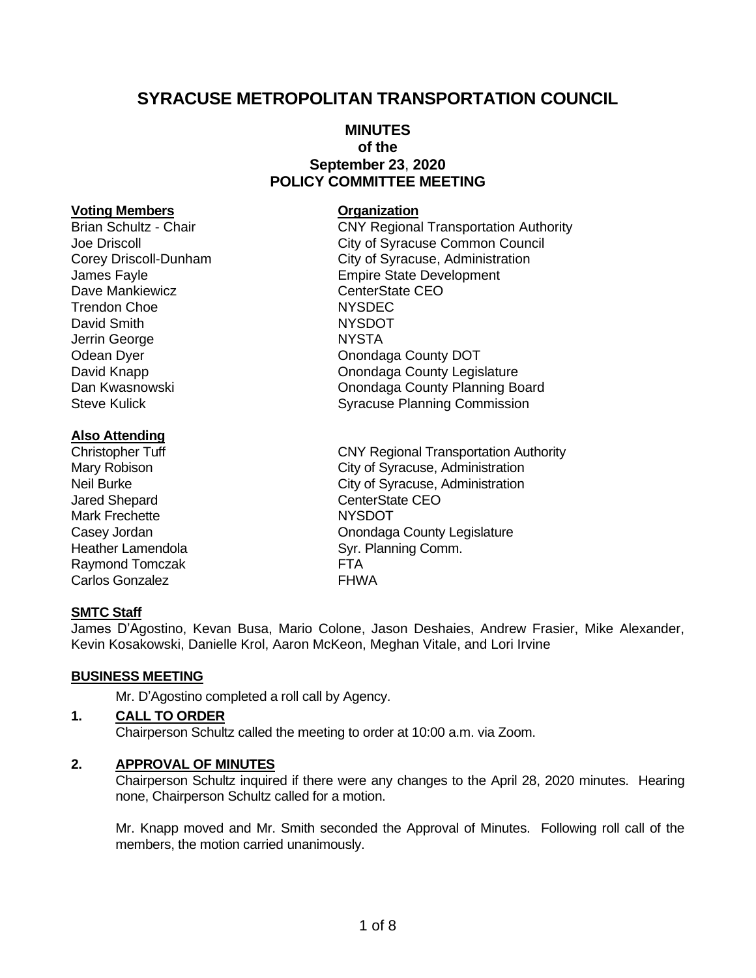# **SYRACUSE METROPOLITAN TRANSPORTATION COUNCIL**

# **MINUTES of the September 23**, **2020 POLICY COMMITTEE MEETING**

#### **Voting Members Organization**

Dave Mankiewicz **CEO** CenterState CEO Trendon Choe NYSDEC David Smith NYSDOT Jerrin George NYSTA

#### **Also Attending**

Jared Shepard CenterState CEO Mark Frechette NYSDOT Raymond Tomczak **FTA** Carlos Gonzalez **FHWA** 

# Brian Schultz - Chair **CNY Regional Transportation Authority** Joe Driscoll City of Syracuse Common Council Corey Driscoll-Dunham City of Syracuse, Administration James Fayle **Empire** State Development Odean Dyer **Onondaga County DOT** David Knapp **David Knapp County Legislature Onondaga County Legislature** Dan Kwasnowski Onondaga County Planning Board Steve Kulick **Syracuse Planning Commission**

Christopher Tuff CNY Regional Transportation Authority Mary Robison **City of Syracuse, Administration** Neil Burke City of Syracuse, Administration Casey Jordan Casey Jordan Casey Jordan Casey Jordan Casey Jordan County Legislature Heather Lamendola Syr. Planning Comm.

# **SMTC Staff**

James D'Agostino, Kevan Busa, Mario Colone, Jason Deshaies, Andrew Frasier, Mike Alexander, Kevin Kosakowski, Danielle Krol, Aaron McKeon, Meghan Vitale, and Lori Irvine

# **BUSINESS MEETING**

Mr. D'Agostino completed a roll call by Agency.

#### **1. CALL TO ORDER**

Chairperson Schultz called the meeting to order at 10:00 a.m. via Zoom.

# **2. APPROVAL OF MINUTES**

Chairperson Schultz inquired if there were any changes to the April 28, 2020 minutes. Hearing none, Chairperson Schultz called for a motion.

Mr. Knapp moved and Mr. Smith seconded the Approval of Minutes. Following roll call of the members, the motion carried unanimously.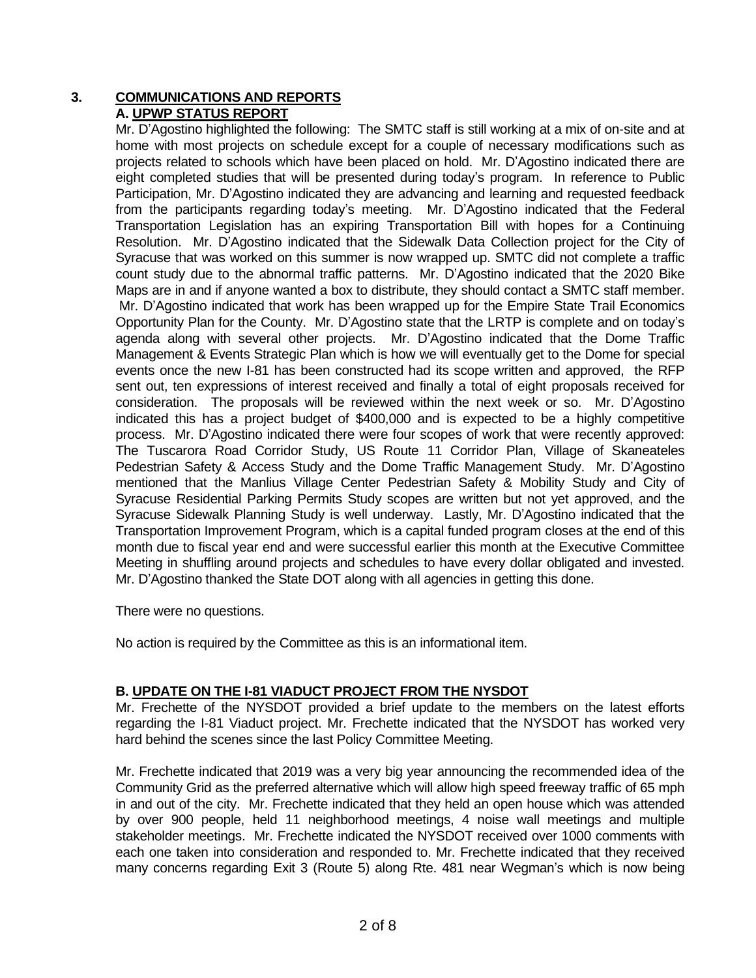# **3. COMMUNICATIONS AND REPORTS A. UPWP STATUS REPORT**

Mr. D'Agostino highlighted the following: The SMTC staff is still working at a mix of on-site and at home with most projects on schedule except for a couple of necessary modifications such as projects related to schools which have been placed on hold. Mr. D'Agostino indicated there are eight completed studies that will be presented during today's program. In reference to Public Participation, Mr. D'Agostino indicated they are advancing and learning and requested feedback from the participants regarding today's meeting. Mr. D'Agostino indicated that the Federal Transportation Legislation has an expiring Transportation Bill with hopes for a Continuing Resolution. Mr. D'Agostino indicated that the Sidewalk Data Collection project for the City of Syracuse that was worked on this summer is now wrapped up. SMTC did not complete a traffic count study due to the abnormal traffic patterns. Mr. D'Agostino indicated that the 2020 Bike Maps are in and if anyone wanted a box to distribute, they should contact a SMTC staff member. Mr. D'Agostino indicated that work has been wrapped up for the Empire State Trail Economics Opportunity Plan for the County. Mr. D'Agostino state that the LRTP is complete and on today's agenda along with several other projects. Mr. D'Agostino indicated that the Dome Traffic Management & Events Strategic Plan which is how we will eventually get to the Dome for special events once the new I-81 has been constructed had its scope written and approved, the RFP sent out, ten expressions of interest received and finally a total of eight proposals received for consideration. The proposals will be reviewed within the next week or so. Mr. D'Agostino indicated this has a project budget of \$400,000 and is expected to be a highly competitive process. Mr. D'Agostino indicated there were four scopes of work that were recently approved: The Tuscarora Road Corridor Study, US Route 11 Corridor Plan, Village of Skaneateles Pedestrian Safety & Access Study and the Dome Traffic Management Study. Mr. D'Agostino mentioned that the Manlius Village Center Pedestrian Safety & Mobility Study and City of Syracuse Residential Parking Permits Study scopes are written but not yet approved, and the Syracuse Sidewalk Planning Study is well underway. Lastly, Mr. D'Agostino indicated that the Transportation Improvement Program, which is a capital funded program closes at the end of this month due to fiscal year end and were successful earlier this month at the Executive Committee Meeting in shuffling around projects and schedules to have every dollar obligated and invested. Mr. D'Agostino thanked the State DOT along with all agencies in getting this done.

There were no questions.

No action is required by the Committee as this is an informational item.

# **B. UPDATE ON THE I-81 VIADUCT PROJECT FROM THE NYSDOT**

Mr. Frechette of the NYSDOT provided a brief update to the members on the latest efforts regarding the I-81 Viaduct project. Mr. Frechette indicated that the NYSDOT has worked very hard behind the scenes since the last Policy Committee Meeting.

Mr. Frechette indicated that 2019 was a very big year announcing the recommended idea of the Community Grid as the preferred alternative which will allow high speed freeway traffic of 65 mph in and out of the city. Mr. Frechette indicated that they held an open house which was attended by over 900 people, held 11 neighborhood meetings, 4 noise wall meetings and multiple stakeholder meetings. Mr. Frechette indicated the NYSDOT received over 1000 comments with each one taken into consideration and responded to. Mr. Frechette indicated that they received many concerns regarding Exit 3 (Route 5) along Rte. 481 near Wegman's which is now being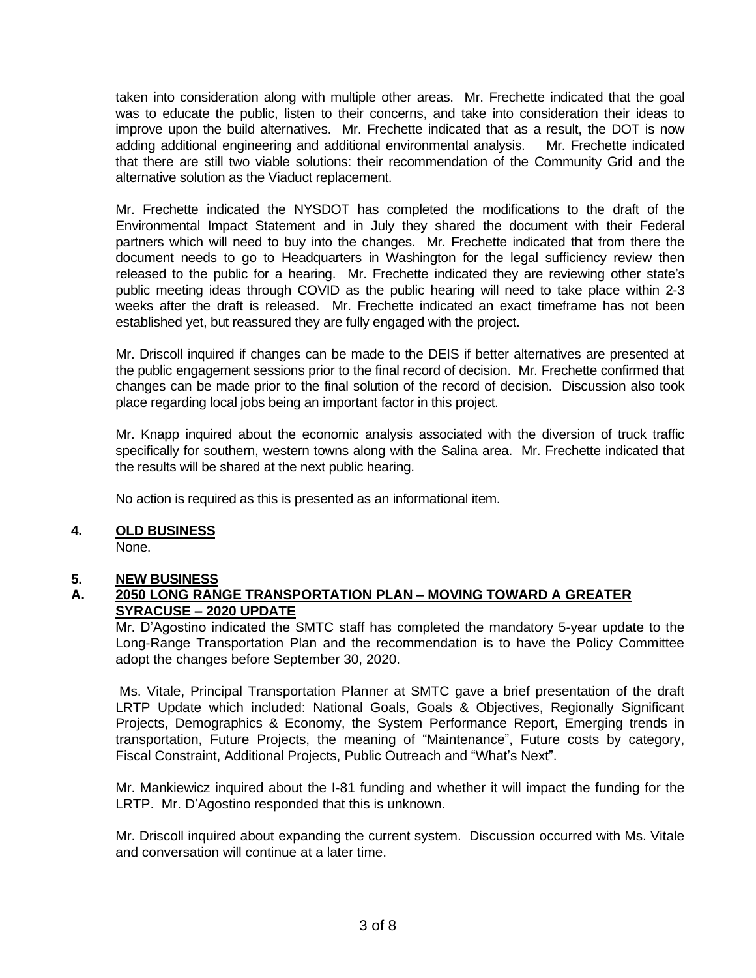taken into consideration along with multiple other areas. Mr. Frechette indicated that the goal was to educate the public, listen to their concerns, and take into consideration their ideas to improve upon the build alternatives. Mr. Frechette indicated that as a result, the DOT is now adding additional engineering and additional environmental analysis. Mr. Frechette indicated that there are still two viable solutions: their recommendation of the Community Grid and the alternative solution as the Viaduct replacement.

Mr. Frechette indicated the NYSDOT has completed the modifications to the draft of the Environmental Impact Statement and in July they shared the document with their Federal partners which will need to buy into the changes. Mr. Frechette indicated that from there the document needs to go to Headquarters in Washington for the legal sufficiency review then released to the public for a hearing. Mr. Frechette indicated they are reviewing other state's public meeting ideas through COVID as the public hearing will need to take place within 2-3 weeks after the draft is released. Mr. Frechette indicated an exact timeframe has not been established yet, but reassured they are fully engaged with the project.

Mr. Driscoll inquired if changes can be made to the DEIS if better alternatives are presented at the public engagement sessions prior to the final record of decision. Mr. Frechette confirmed that changes can be made prior to the final solution of the record of decision. Discussion also took place regarding local jobs being an important factor in this project.

Mr. Knapp inquired about the economic analysis associated with the diversion of truck traffic specifically for southern, western towns along with the Salina area. Mr. Frechette indicated that the results will be shared at the next public hearing.

No action is required as this is presented as an informational item.

# **4. OLD BUSINESS**

None.

# **5. NEW BUSINESS**

# **A. 2050 LONG RANGE TRANSPORTATION PLAN – MOVING TOWARD A GREATER SYRACUSE – 2020 UPDATE**

Mr. D'Agostino indicated the SMTC staff has completed the mandatory 5-year update to the Long-Range Transportation Plan and the recommendation is to have the Policy Committee adopt the changes before September 30, 2020.

Ms. Vitale, Principal Transportation Planner at SMTC gave a brief presentation of the draft LRTP Update which included: National Goals, Goals & Objectives, Regionally Significant Projects, Demographics & Economy, the System Performance Report, Emerging trends in transportation, Future Projects, the meaning of "Maintenance", Future costs by category, Fiscal Constraint, Additional Projects, Public Outreach and "What's Next".

Mr. Mankiewicz inquired about the I-81 funding and whether it will impact the funding for the LRTP. Mr. D'Agostino responded that this is unknown.

Mr. Driscoll inquired about expanding the current system. Discussion occurred with Ms. Vitale and conversation will continue at a later time.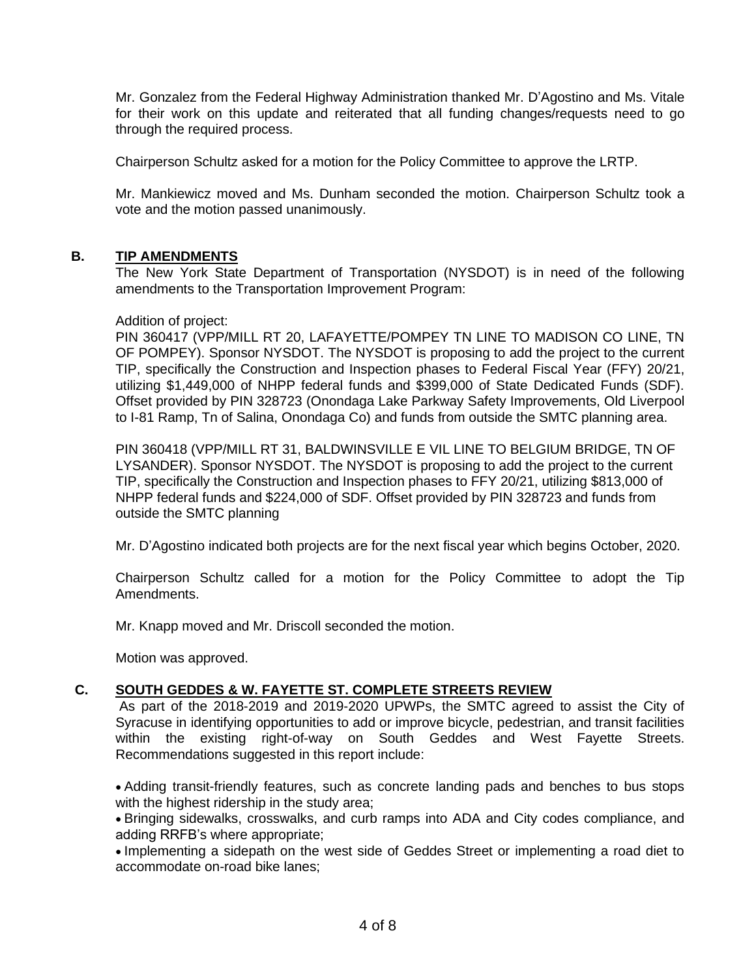Mr. Gonzalez from the Federal Highway Administration thanked Mr. D'Agostino and Ms. Vitale for their work on this update and reiterated that all funding changes/requests need to go through the required process.

Chairperson Schultz asked for a motion for the Policy Committee to approve the LRTP.

Mr. Mankiewicz moved and Ms. Dunham seconded the motion. Chairperson Schultz took a vote and the motion passed unanimously.

#### **B. TIP AMENDMENTS**

The New York State Department of Transportation (NYSDOT) is in need of the following amendments to the Transportation Improvement Program:

#### Addition of project:

PIN 360417 (VPP/MILL RT 20, LAFAYETTE/POMPEY TN LINE TO MADISON CO LINE, TN OF POMPEY). Sponsor NYSDOT. The NYSDOT is proposing to add the project to the current TIP, specifically the Construction and Inspection phases to Federal Fiscal Year (FFY) 20/21, utilizing \$1,449,000 of NHPP federal funds and \$399,000 of State Dedicated Funds (SDF). Offset provided by PIN 328723 (Onondaga Lake Parkway Safety Improvements, Old Liverpool to I-81 Ramp, Tn of Salina, Onondaga Co) and funds from outside the SMTC planning area.

PIN 360418 (VPP/MILL RT 31, BALDWINSVILLE E VIL LINE TO BELGIUM BRIDGE, TN OF LYSANDER). Sponsor NYSDOT. The NYSDOT is proposing to add the project to the current TIP, specifically the Construction and Inspection phases to FFY 20/21, utilizing \$813,000 of NHPP federal funds and \$224,000 of SDF. Offset provided by PIN 328723 and funds from outside the SMTC planning

Mr. D'Agostino indicated both projects are for the next fiscal year which begins October, 2020.

Chairperson Schultz called for a motion for the Policy Committee to adopt the Tip Amendments.

Mr. Knapp moved and Mr. Driscoll seconded the motion.

Motion was approved.

# **C. SOUTH GEDDES & W. FAYETTE ST. COMPLETE STREETS REVIEW**

As part of the 2018-2019 and 2019-2020 UPWPs, the SMTC agreed to assist the City of Syracuse in identifying opportunities to add or improve bicycle, pedestrian, and transit facilities within the existing right-of-way on South Geddes and West Fayette Streets. Recommendations suggested in this report include:

• Adding transit-friendly features, such as concrete landing pads and benches to bus stops with the highest ridership in the study area;

• Bringing sidewalks, crosswalks, and curb ramps into ADA and City codes compliance, and adding RRFB's where appropriate;

• Implementing a sidepath on the west side of Geddes Street or implementing a road diet to accommodate on-road bike lanes;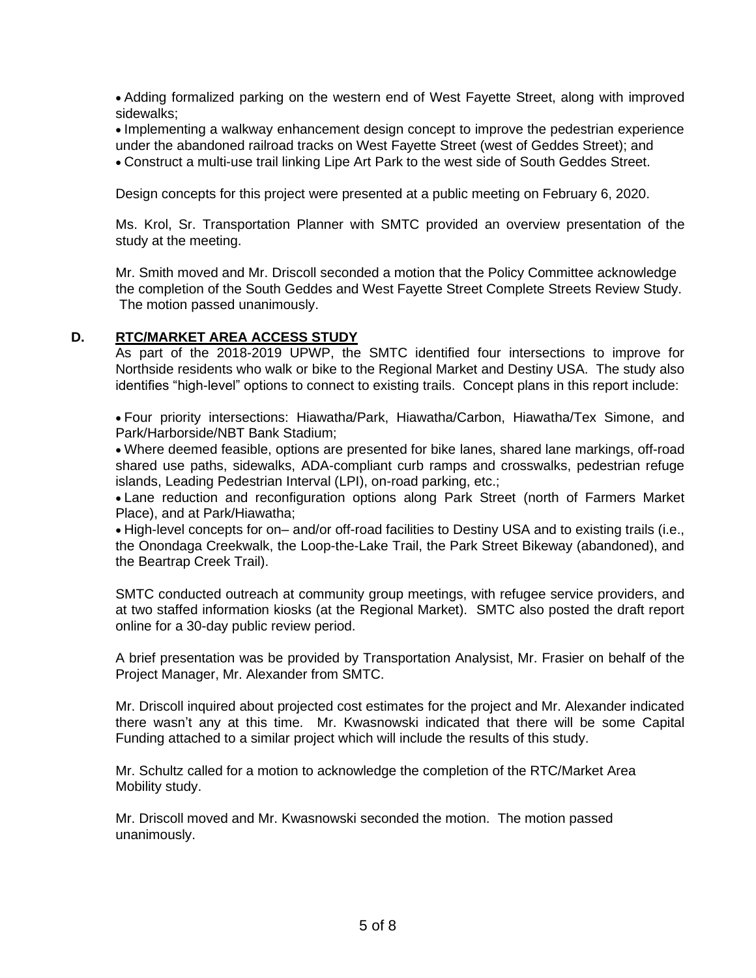• Adding formalized parking on the western end of West Fayette Street, along with improved sidewalks;

• Implementing a walkway enhancement design concept to improve the pedestrian experience under the abandoned railroad tracks on West Fayette Street (west of Geddes Street); and • Construct a multi-use trail linking Lipe Art Park to the west side of South Geddes Street.

Design concepts for this project were presented at a public meeting on February 6, 2020.

Ms. Krol, Sr. Transportation Planner with SMTC provided an overview presentation of the study at the meeting.

Mr. Smith moved and Mr. Driscoll seconded a motion that the Policy Committee acknowledge the completion of the South Geddes and West Fayette Street Complete Streets Review Study. The motion passed unanimously.

# **D. RTC/MARKET AREA ACCESS STUDY**

As part of the 2018-2019 UPWP, the SMTC identified four intersections to improve for Northside residents who walk or bike to the Regional Market and Destiny USA. The study also identifies "high-level" options to connect to existing trails. Concept plans in this report include:

• Four priority intersections: Hiawatha/Park, Hiawatha/Carbon, Hiawatha/Tex Simone, and Park/Harborside/NBT Bank Stadium;

• Where deemed feasible, options are presented for bike lanes, shared lane markings, off-road shared use paths, sidewalks, ADA-compliant curb ramps and crosswalks, pedestrian refuge islands, Leading Pedestrian Interval (LPI), on-road parking, etc.;

• Lane reduction and reconfiguration options along Park Street (north of Farmers Market Place), and at Park/Hiawatha;

• High-level concepts for on– and/or off-road facilities to Destiny USA and to existing trails (i.e., the Onondaga Creekwalk, the Loop-the-Lake Trail, the Park Street Bikeway (abandoned), and the Beartrap Creek Trail).

SMTC conducted outreach at community group meetings, with refugee service providers, and at two staffed information kiosks (at the Regional Market). SMTC also posted the draft report online for a 30-day public review period.

A brief presentation was be provided by Transportation Analysist, Mr. Frasier on behalf of the Project Manager, Mr. Alexander from SMTC.

Mr. Driscoll inquired about projected cost estimates for the project and Mr. Alexander indicated there wasn't any at this time. Mr. Kwasnowski indicated that there will be some Capital Funding attached to a similar project which will include the results of this study.

Mr. Schultz called for a motion to acknowledge the completion of the RTC/Market Area Mobility study.

Mr. Driscoll moved and Mr. Kwasnowski seconded the motion. The motion passed unanimously.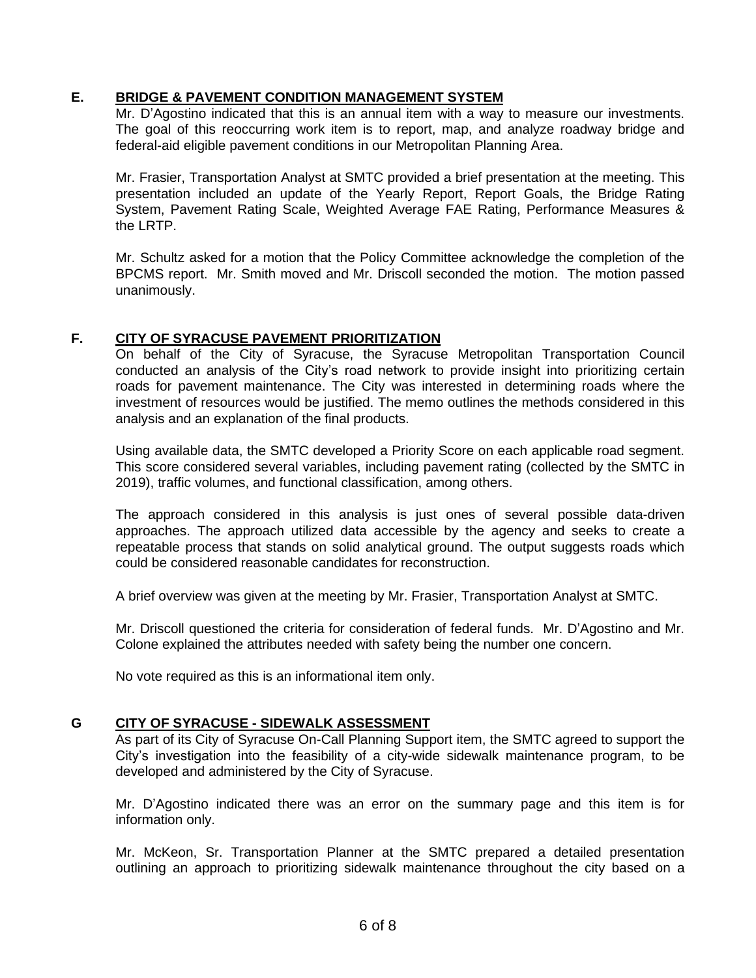# **E. BRIDGE & PAVEMENT CONDITION MANAGEMENT SYSTEM**

Mr. D'Agostino indicated that this is an annual item with a way to measure our investments. The goal of this reoccurring work item is to report, map, and analyze roadway bridge and federal-aid eligible pavement conditions in our Metropolitan Planning Area.

Mr. Frasier, Transportation Analyst at SMTC provided a brief presentation at the meeting. This presentation included an update of the Yearly Report, Report Goals, the Bridge Rating System, Pavement Rating Scale, Weighted Average FAE Rating, Performance Measures & the LRTP.

Mr. Schultz asked for a motion that the Policy Committee acknowledge the completion of the BPCMS report. Mr. Smith moved and Mr. Driscoll seconded the motion. The motion passed unanimously.

# **F. CITY OF SYRACUSE PAVEMENT PRIORITIZATION**

On behalf of the City of Syracuse, the Syracuse Metropolitan Transportation Council conducted an analysis of the City's road network to provide insight into prioritizing certain roads for pavement maintenance. The City was interested in determining roads where the investment of resources would be justified. The memo outlines the methods considered in this analysis and an explanation of the final products.

Using available data, the SMTC developed a Priority Score on each applicable road segment. This score considered several variables, including pavement rating (collected by the SMTC in 2019), traffic volumes, and functional classification, among others.

The approach considered in this analysis is just ones of several possible data-driven approaches. The approach utilized data accessible by the agency and seeks to create a repeatable process that stands on solid analytical ground. The output suggests roads which could be considered reasonable candidates for reconstruction.

A brief overview was given at the meeting by Mr. Frasier, Transportation Analyst at SMTC.

Mr. Driscoll questioned the criteria for consideration of federal funds. Mr. D'Agostino and Mr. Colone explained the attributes needed with safety being the number one concern.

No vote required as this is an informational item only.

# **G CITY OF SYRACUSE - SIDEWALK ASSESSMENT**

As part of its City of Syracuse On-Call Planning Support item, the SMTC agreed to support the City's investigation into the feasibility of a city-wide sidewalk maintenance program, to be developed and administered by the City of Syracuse.

Mr. D'Agostino indicated there was an error on the summary page and this item is for information only.

Mr. McKeon, Sr. Transportation Planner at the SMTC prepared a detailed presentation outlining an approach to prioritizing sidewalk maintenance throughout the city based on a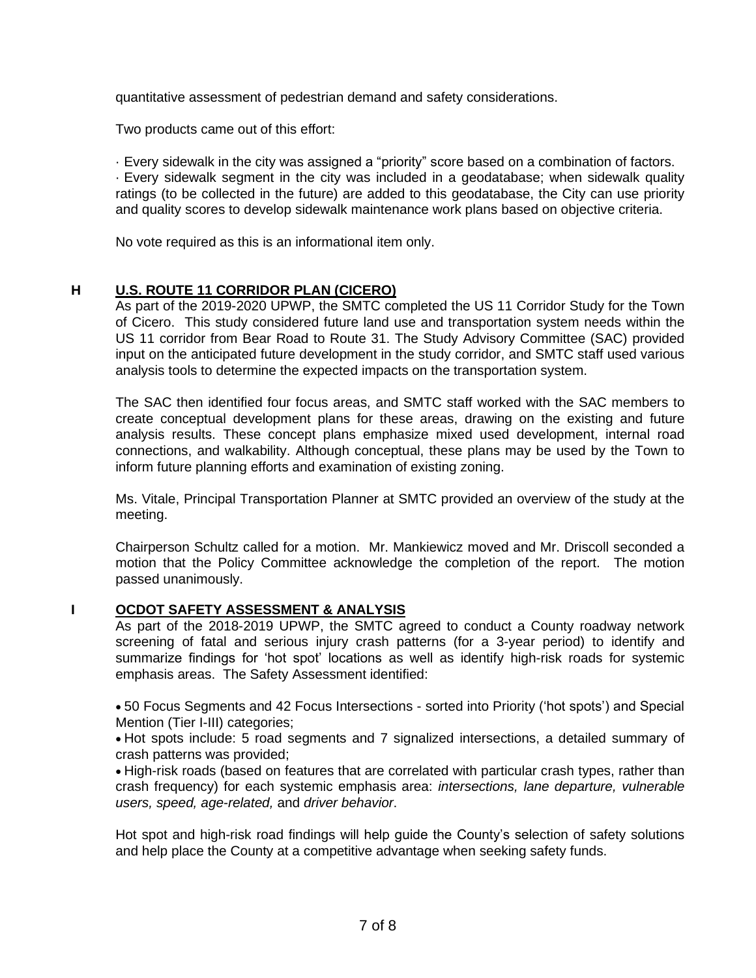quantitative assessment of pedestrian demand and safety considerations.

Two products came out of this effort:

· Every sidewalk in the city was assigned a "priority" score based on a combination of factors. · Every sidewalk segment in the city was included in a geodatabase; when sidewalk quality ratings (to be collected in the future) are added to this geodatabase, the City can use priority and quality scores to develop sidewalk maintenance work plans based on objective criteria.

No vote required as this is an informational item only.

# **H U.S. ROUTE 11 CORRIDOR PLAN (CICERO)**

As part of the 2019-2020 UPWP, the SMTC completed the US 11 Corridor Study for the Town of Cicero. This study considered future land use and transportation system needs within the US 11 corridor from Bear Road to Route 31. The Study Advisory Committee (SAC) provided input on the anticipated future development in the study corridor, and SMTC staff used various analysis tools to determine the expected impacts on the transportation system.

The SAC then identified four focus areas, and SMTC staff worked with the SAC members to create conceptual development plans for these areas, drawing on the existing and future analysis results. These concept plans emphasize mixed used development, internal road connections, and walkability. Although conceptual, these plans may be used by the Town to inform future planning efforts and examination of existing zoning.

Ms. Vitale, Principal Transportation Planner at SMTC provided an overview of the study at the meeting.

Chairperson Schultz called for a motion. Mr. Mankiewicz moved and Mr. Driscoll seconded a motion that the Policy Committee acknowledge the completion of the report. The motion passed unanimously.

# **I OCDOT SAFETY ASSESSMENT & ANALYSIS**

As part of the 2018-2019 UPWP, the SMTC agreed to conduct a County roadway network screening of fatal and serious injury crash patterns (for a 3-year period) to identify and summarize findings for 'hot spot' locations as well as identify high-risk roads for systemic emphasis areas. The Safety Assessment identified:

• 50 Focus Segments and 42 Focus Intersections - sorted into Priority ('hot spots') and Special Mention (Tier I-III) categories;

• Hot spots include: 5 road segments and 7 signalized intersections, a detailed summary of crash patterns was provided;

• High-risk roads (based on features that are correlated with particular crash types, rather than crash frequency) for each systemic emphasis area: *intersections, lane departure, vulnerable users, speed, age-related,* and *driver behavior*.

Hot spot and high-risk road findings will help guide the County's selection of safety solutions and help place the County at a competitive advantage when seeking safety funds.